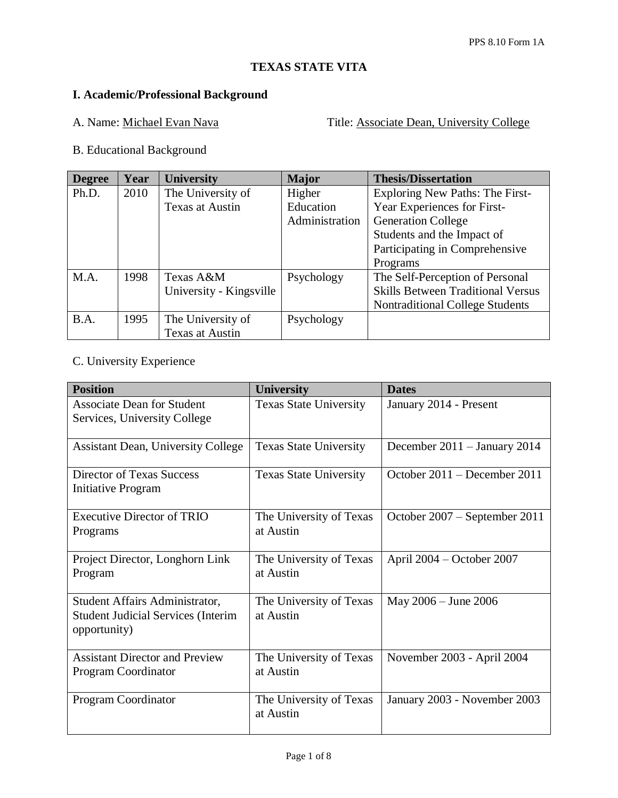# **TEXAS STATE VITA**

## **I. Academic/Professional Background**

A. Name: Michael Evan Nava<br>
Title: Associate Dean, University College

B. Educational Background

| <b>Degree</b> | Year | <b>University</b>       | <b>Major</b>   | <b>Thesis/Dissertation</b>               |
|---------------|------|-------------------------|----------------|------------------------------------------|
| Ph.D.         | 2010 | The University of       | Higher         | Exploring New Paths: The First-          |
|               |      | Texas at Austin         | Education      | Year Experiences for First-              |
|               |      |                         | Administration | <b>Generation College</b>                |
|               |      |                         |                | Students and the Impact of               |
|               |      |                         |                | Participating in Comprehensive           |
|               |      |                         |                | Programs                                 |
| M.A.          | 1998 | Texas A&M               | Psychology     | The Self-Perception of Personal          |
|               |      | University - Kingsville |                | <b>Skills Between Traditional Versus</b> |
|               |      |                         |                | <b>Nontraditional College Students</b>   |
| B.A.          | 1995 | The University of       | Psychology     |                                          |
|               |      | Texas at Austin         |                |                                          |

## C. University Experience

| <b>Position</b>                                                                             | <b>University</b>                    | <b>Dates</b>                  |
|---------------------------------------------------------------------------------------------|--------------------------------------|-------------------------------|
| <b>Associate Dean for Student</b><br>Services, University College                           | <b>Texas State University</b>        | January 2014 - Present        |
| <b>Assistant Dean, University College</b>                                                   | <b>Texas State University</b>        | December 2011 - January 2014  |
| Director of Texas Success<br><b>Initiative Program</b>                                      | <b>Texas State University</b>        | October 2011 – December 2011  |
| <b>Executive Director of TRIO</b><br>Programs                                               | The University of Texas<br>at Austin | October 2007 – September 2011 |
| Project Director, Longhorn Link<br>Program                                                  | The University of Texas<br>at Austin | April 2004 – October 2007     |
| Student Affairs Administrator,<br><b>Student Judicial Services (Interim</b><br>opportunity) | The University of Texas<br>at Austin | May 2006 - June 2006          |
| <b>Assistant Director and Preview</b><br>Program Coordinator                                | The University of Texas<br>at Austin | November 2003 - April 2004    |
| Program Coordinator                                                                         | The University of Texas<br>at Austin | January 2003 - November 2003  |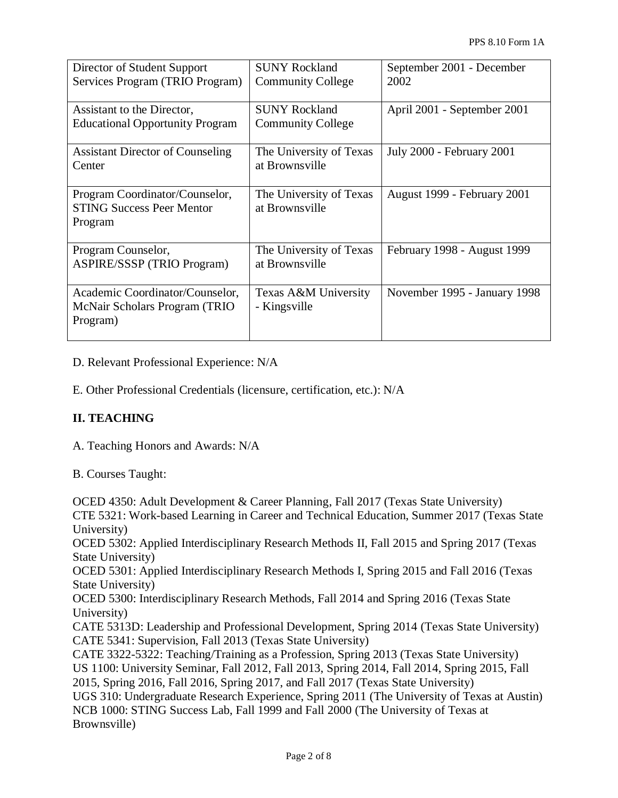| Director of Student Support<br>Services Program (TRIO Program)                | <b>SUNY Rockland</b><br><b>Community College</b> | September 2001 - December<br>2002 |
|-------------------------------------------------------------------------------|--------------------------------------------------|-----------------------------------|
| Assistant to the Director,<br><b>Educational Opportunity Program</b>          | <b>SUNY Rockland</b><br><b>Community College</b> | April 2001 - September 2001       |
| <b>Assistant Director of Counseling</b><br>Center                             | The University of Texas<br>at Brownsville        | July 2000 - February 2001         |
| Program Coordinator/Counselor,<br><b>STING Success Peer Mentor</b><br>Program | The University of Texas<br>at Brownsville        | August 1999 - February 2001       |
| Program Counselor,<br><b>ASPIRE/SSSP (TRIO Program)</b>                       | The University of Texas<br>at Brownsville        | February 1998 - August 1999       |
| Academic Coordinator/Counselor,<br>McNair Scholars Program (TRIO<br>Program)  | Texas A&M University<br>- Kingsville             | November 1995 - January 1998      |

D. Relevant Professional Experience: N/A

E. Other Professional Credentials (licensure, certification, etc.): N/A

### **II. TEACHING**

A. Teaching Honors and Awards: N/A

B. Courses Taught:

OCED 4350: Adult Development & Career Planning, Fall 2017 (Texas State University) CTE 5321: Work-based Learning in Career and Technical Education, Summer 2017 (Texas State University) OCED 5302: Applied Interdisciplinary Research Methods II, Fall 2015 and Spring 2017 (Texas State University) OCED 5301: Applied Interdisciplinary Research Methods I, Spring 2015 and Fall 2016 (Texas State University) OCED 5300: Interdisciplinary Research Methods, Fall 2014 and Spring 2016 (Texas State University) CATE 5313D: Leadership and Professional Development, Spring 2014 (Texas State University) CATE 5341: Supervision, Fall 2013 (Texas State University) CATE 3322-5322: Teaching/Training as a Profession, Spring 2013 (Texas State University) US 1100: University Seminar, Fall 2012, Fall 2013, Spring 2014, Fall 2014, Spring 2015, Fall 2015, Spring 2016, Fall 2016, Spring 2017, and Fall 2017 (Texas State University) UGS 310: Undergraduate Research Experience, Spring 2011 (The University of Texas at Austin) NCB 1000: STING Success Lab, Fall 1999 and Fall 2000 (The University of Texas at Brownsville)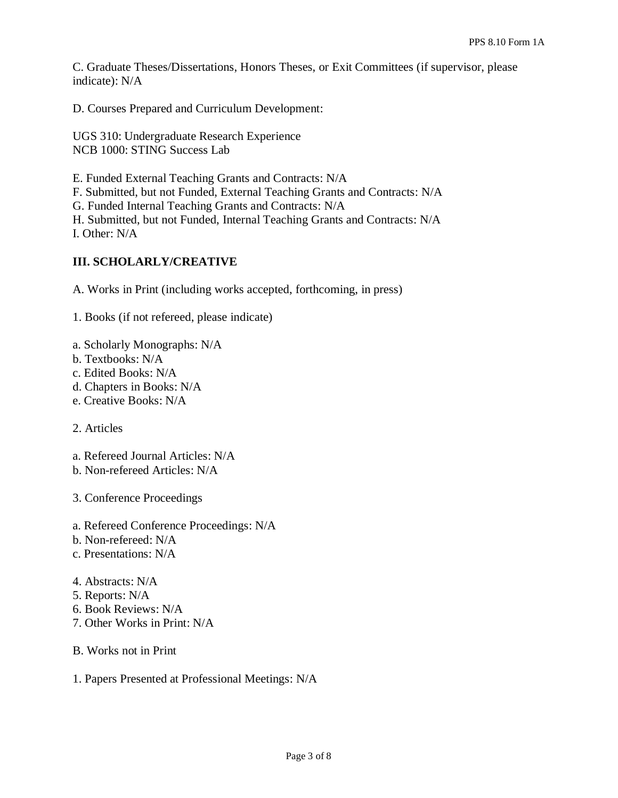C. Graduate Theses/Dissertations, Honors Theses, or Exit Committees (if supervisor, please indicate): N/A

D. Courses Prepared and Curriculum Development:

UGS 310: Undergraduate Research Experience NCB 1000: STING Success Lab

E. Funded External Teaching Grants and Contracts: N/A

F. Submitted, but not Funded, External Teaching Grants and Contracts: N/A

G. Funded Internal Teaching Grants and Contracts: N/A

H. Submitted, but not Funded, Internal Teaching Grants and Contracts: N/A I. Other: N/A

### **III. SCHOLARLY/CREATIVE**

A. Works in Print (including works accepted, forthcoming, in press)

1. Books (if not refereed, please indicate)

- a. Scholarly Monographs: N/A
- b. Textbooks: N/A
- c. Edited Books: N/A
- d. Chapters in Books: N/A
- e. Creative Books: N/A

2. Articles

a. Refereed Journal Articles: N/A

b. Non-refereed Articles: N/A

3. Conference Proceedings

- a. Refereed Conference Proceedings: N/A
- b. Non-refereed: N/A
- c. Presentations: N/A

4. Abstracts: N/A

- 5. Reports: N/A
- 6. Book Reviews: N/A
- 7. Other Works in Print: N/A
- B. Works not in Print
- 1. Papers Presented at Professional Meetings: N/A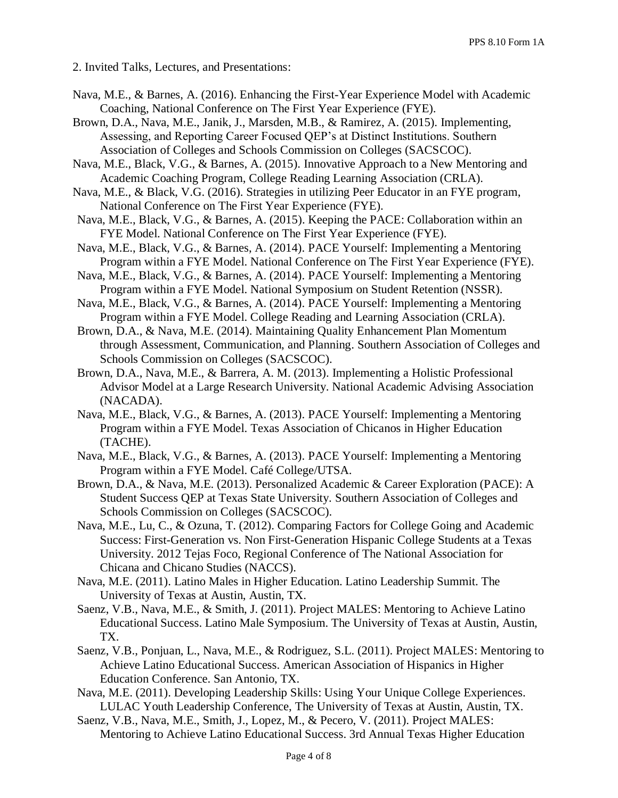2. Invited Talks, Lectures, and Presentations:

- Nava, M.E., & Barnes, A. (2016). Enhancing the First-Year Experience Model with Academic Coaching, National Conference on The First Year Experience (FYE).
- Brown, D.A., Nava, M.E., Janik, J., Marsden, M.B., & Ramirez, A. (2015). Implementing, Assessing, and Reporting Career Focused QEP's at Distinct Institutions. Southern Association of Colleges and Schools Commission on Colleges (SACSCOC).
- Nava, M.E., Black, V.G., & Barnes, A. (2015). Innovative Approach to a New Mentoring and Academic Coaching Program, College Reading Learning Association (CRLA).
- Nava, M.E., & Black, V.G. (2016). Strategies in utilizing Peer Educator in an FYE program, National Conference on The First Year Experience (FYE).
- Nava, M.E., Black, V.G., & Barnes, A. (2015). Keeping the PACE: Collaboration within an FYE Model. National Conference on The First Year Experience (FYE).
- Nava, M.E., Black, V.G., & Barnes, A. (2014). PACE Yourself: Implementing a Mentoring Program within a FYE Model. National Conference on The First Year Experience (FYE).
- Nava, M.E., Black, V.G., & Barnes, A. (2014). PACE Yourself: Implementing a Mentoring Program within a FYE Model. National Symposium on Student Retention (NSSR).
- Nava, M.E., Black, V.G., & Barnes, A. (2014). PACE Yourself: Implementing a Mentoring Program within a FYE Model. College Reading and Learning Association (CRLA).
- Brown, D.A., & Nava, M.E. (2014). Maintaining Quality Enhancement Plan Momentum through Assessment, Communication, and Planning. Southern Association of Colleges and Schools Commission on Colleges (SACSCOC).
- Brown, D.A., Nava, M.E., & Barrera, A. M. (2013). Implementing a Holistic Professional Advisor Model at a Large Research University. National Academic Advising Association (NACADA).
- Nava, M.E., Black, V.G., & Barnes, A. (2013). PACE Yourself: Implementing a Mentoring Program within a FYE Model. Texas Association of Chicanos in Higher Education (TACHE).
- Nava, M.E., Black, V.G., & Barnes, A. (2013). PACE Yourself: Implementing a Mentoring Program within a FYE Model. Café College/UTSA.
- Brown, D.A., & Nava, M.E. (2013). Personalized Academic & Career Exploration (PACE): A Student Success QEP at Texas State University. Southern Association of Colleges and Schools Commission on Colleges (SACSCOC).
- Nava, M.E., Lu, C., & Ozuna, T. (2012). Comparing Factors for College Going and Academic Success: First-Generation vs. Non First-Generation Hispanic College Students at a Texas University. 2012 Tejas Foco, Regional Conference of The National Association for Chicana and Chicano Studies (NACCS).
- Nava, M.E. (2011). Latino Males in Higher Education. Latino Leadership Summit. The University of Texas at Austin, Austin, TX.
- Saenz, V.B., Nava, M.E., & Smith, J. (2011). Project MALES: Mentoring to Achieve Latino Educational Success. Latino Male Symposium. The University of Texas at Austin, Austin, TX.
- Saenz, V.B., Ponjuan, L., Nava, M.E., & Rodriguez, S.L. (2011). Project MALES: Mentoring to Achieve Latino Educational Success. American Association of Hispanics in Higher Education Conference. San Antonio, TX.
- Nava, M.E. (2011). Developing Leadership Skills: Using Your Unique College Experiences. LULAC Youth Leadership Conference, The University of Texas at Austin, Austin, TX.
- Saenz, V.B., Nava, M.E., Smith, J., Lopez, M., & Pecero, V. (2011). Project MALES: Mentoring to Achieve Latino Educational Success. 3rd Annual Texas Higher Education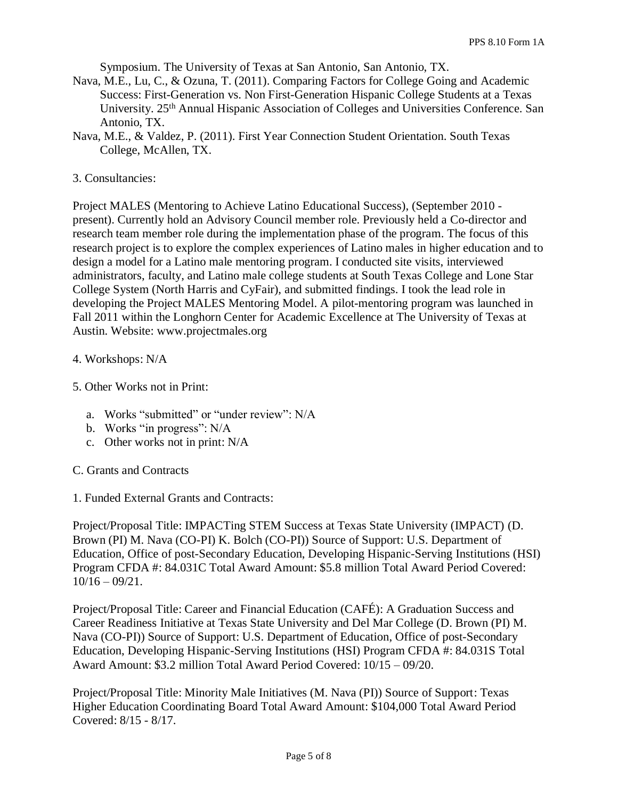Symposium. The University of Texas at San Antonio, San Antonio, TX.

- Nava, M.E., Lu, C., & Ozuna, T. (2011). Comparing Factors for College Going and Academic Success: First-Generation vs. Non First-Generation Hispanic College Students at a Texas University. 25th Annual Hispanic Association of Colleges and Universities Conference. San Antonio, TX.
- Nava, M.E., & Valdez, P. (2011). First Year Connection Student Orientation. South Texas College, McAllen, TX.
- 3. Consultancies:

Project MALES (Mentoring to Achieve Latino Educational Success), (September 2010 present). Currently hold an Advisory Council member role. Previously held a Co-director and research team member role during the implementation phase of the program. The focus of this research project is to explore the complex experiences of Latino males in higher education and to design a model for a Latino male mentoring program. I conducted site visits, interviewed administrators, faculty, and Latino male college students at South Texas College and Lone Star College System (North Harris and CyFair), and submitted findings. I took the lead role in developing the Project MALES Mentoring Model. A pilot-mentoring program was launched in Fall 2011 within the Longhorn Center for Academic Excellence at The University of Texas at Austin. Website: www.projectmales.org

- 4. Workshops: N/A
- 5. Other Works not in Print:
	- a. Works "submitted" or "under review": N/A
	- b. Works "in progress": N/A
	- c. Other works not in print: N/A
- C. Grants and Contracts
- 1. Funded External Grants and Contracts:

Project/Proposal Title: IMPACTing STEM Success at Texas State University (IMPACT) (D. Brown (PI) M. Nava (CO-PI) K. Bolch (CO-PI)) Source of Support: U.S. Department of Education, Office of post-Secondary Education, Developing Hispanic-Serving Institutions (HSI) Program CFDA #: 84.031C Total Award Amount: \$5.8 million Total Award Period Covered:  $10/16 - 09/21$ .

Project/Proposal Title: Career and Financial Education (CAFÉ): A Graduation Success and Career Readiness Initiative at Texas State University and Del Mar College (D. Brown (PI) M. Nava (CO-PI)) Source of Support: U.S. Department of Education, Office of post-Secondary Education, Developing Hispanic-Serving Institutions (HSI) Program CFDA #: 84.031S Total Award Amount: \$3.2 million Total Award Period Covered: 10/15 – 09/20.

Project/Proposal Title: Minority Male Initiatives (M. Nava (PI)) Source of Support: Texas Higher Education Coordinating Board Total Award Amount: \$104,000 Total Award Period Covered: 8/15 - 8/17.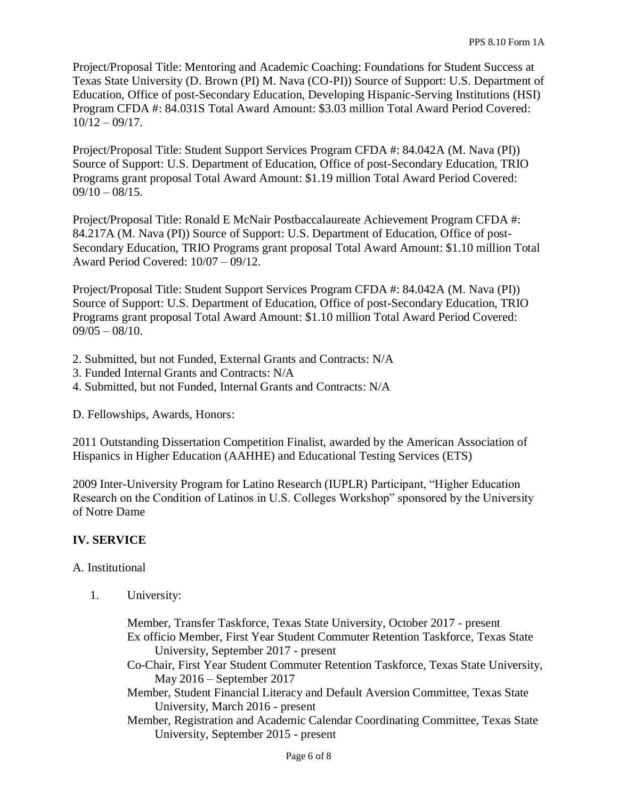Project/Proposal Title: Mentoring and Academic Coaching: Foundations for Student Success at Texas State University (D. Brown (PI) M. Nava (CO-PI)) Source of Support: U.S. Department of Education, Office of post-Secondary Education, Developing Hispanic-Serving Institutions (HSI) Program CFDA #: 84.031S Total Award Amount: \$3.03 million Total Award Period Covered:  $10/12 - 09/17$ .

Project/Proposal Title: Student Support Services Program CFDA #: 84.042A (M. Nava (PI)) Source of Support: U.S. Department of Education, Office of post-Secondary Education, TRIO Programs grant proposal Total Award Amount: \$1.19 million Total Award Period Covered:  $09/10 - 08/15$ .

Project/Proposal Title: Ronald E McNair Postbaccalaureate Achievement Program CFDA #: 84.217A (M. Nava (PI)) Source of Support: U.S. Department of Education, Office of post-Secondary Education, TRIO Programs grant proposal Total Award Amount: \$1.10 million Total Award Period Covered: 10/07 – 09/12.

Project/Proposal Title: Student Support Services Program CFDA #: 84.042A (M. Nava (PI)) Source of Support: U.S. Department of Education, Office of post-Secondary Education, TRIO Programs grant proposal Total Award Amount: \$1.10 million Total Award Period Covered:  $09/05 - 08/10$ .

- 2. Submitted, but not Funded, External Grants and Contracts: N/A
- 3. Funded Internal Grants and Contracts: N/A
- 4. Submitted, but not Funded, Internal Grants and Contracts: N/A

D. Fellowships, Awards, Honors:

2011 Outstanding Dissertation Competition Finalist, awarded by the American Association of Hispanics in Higher Education (AAHHE) and Educational Testing Services (ETS)

2009 Inter-University Program for Latino Research (IUPLR) Participant, "Higher Education Research on the Condition of Latinos in U.S. Colleges Workshop" sponsored by the University of Notre Dame

### **IV. SERVICE**

#### A. Institutional

1. University:

Member, Transfer Taskforce, Texas State University, October 2017 - present Ex officio Member, First Year Student Commuter Retention Taskforce, Texas State University, September 2017 - present Co-Chair, First Year Student Commuter Retention Taskforce, Texas State University, May 2016 – September 2017 Member, Student Financial Literacy and Default Aversion Committee, Texas State University, March 2016 - present Member, Registration and Academic Calendar Coordinating Committee, Texas State University, September 2015 - present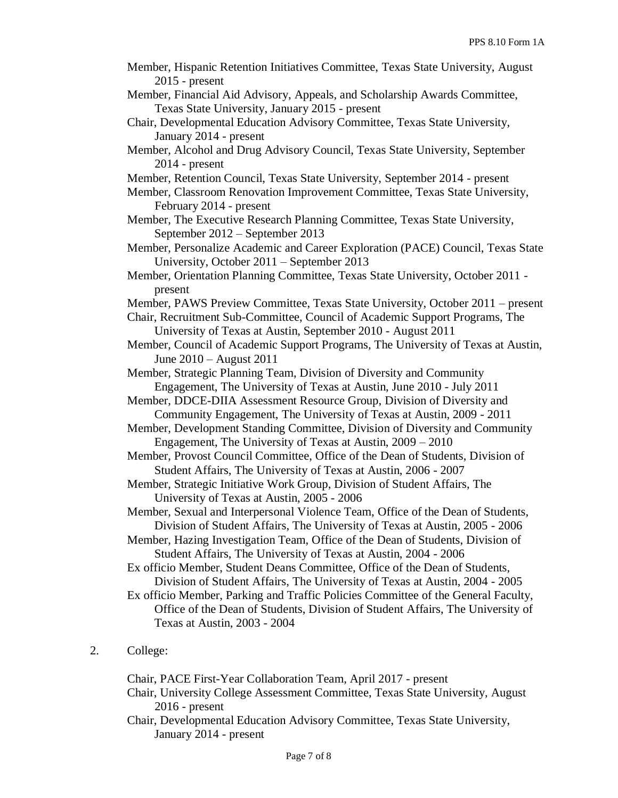Member, Hispanic Retention Initiatives Committee, Texas State University, August 2015 - present Member, Financial Aid Advisory, Appeals, and Scholarship Awards Committee, Texas State University, January 2015 - present Chair, Developmental Education Advisory Committee, Texas State University, January 2014 - present Member, Alcohol and Drug Advisory Council, Texas State University, September 2014 - present Member, Retention Council, Texas State University, September 2014 - present Member, Classroom Renovation Improvement Committee, Texas State University, February 2014 - present Member, The Executive Research Planning Committee, Texas State University, September 2012 – September 2013 Member, Personalize Academic and Career Exploration (PACE) Council, Texas State University, October 2011 – September 2013 Member, Orientation Planning Committee, Texas State University, October 2011 present Member, PAWS Preview Committee, Texas State University, October 2011 – present Chair, Recruitment Sub-Committee, Council of Academic Support Programs, The University of Texas at Austin, September 2010 - August 2011 Member, Council of Academic Support Programs, The University of Texas at Austin, June 2010 – August 2011 Member, Strategic Planning Team, Division of Diversity and Community Engagement, The University of Texas at Austin, June 2010 - July 2011 Member, DDCE-DIIA Assessment Resource Group, Division of Diversity and Community Engagement, The University of Texas at Austin, 2009 - 2011 Member, Development Standing Committee, Division of Diversity and Community Engagement, The University of Texas at Austin, 2009 – 2010 Member, Provost Council Committee, Office of the Dean of Students, Division of Student Affairs, The University of Texas at Austin, 2006 - 2007 Member, Strategic Initiative Work Group, Division of Student Affairs, The University of Texas at Austin, 2005 - 2006 Member, Sexual and Interpersonal Violence Team, Office of the Dean of Students, Division of Student Affairs, The University of Texas at Austin, 2005 - 2006 Member, Hazing Investigation Team, Office of the Dean of Students, Division of Student Affairs, The University of Texas at Austin, 2004 - 2006 Ex officio Member, Student Deans Committee, Office of the Dean of Students, Division of Student Affairs, The University of Texas at Austin, 2004 - 2005 Ex officio Member, Parking and Traffic Policies Committee of the General Faculty, Office of the Dean of Students, Division of Student Affairs, The University of Texas at Austin, 2003 - 2004 2. College: Chair, PACE First-Year Collaboration Team, April 2017 - present

Chair, University College Assessment Committee, Texas State University, August 2016 - present Chair, Developmental Education Advisory Committee, Texas State University,

January 2014 - present